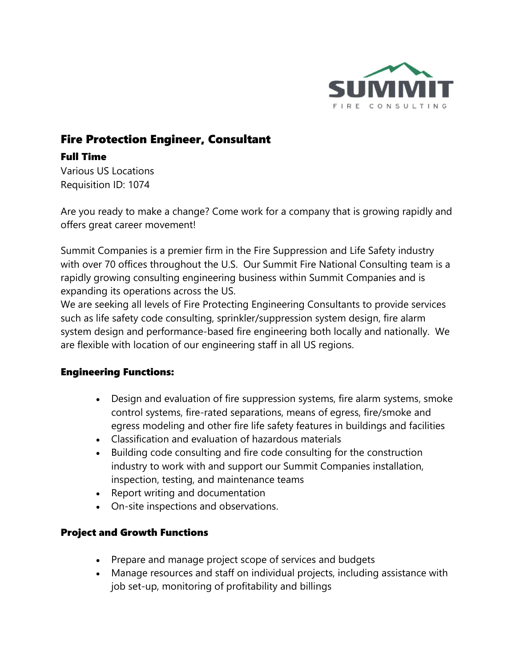

# Fire Protection Engineer, Consultant

### Full Time

Various US Locations Requisition ID: 1074

Are you ready to make a change? Come work for a company that is growing rapidly and offers great career movement!

Summit Companies is a premier firm in the Fire Suppression and Life Safety industry with over 70 offices throughout the U.S. Our Summit Fire National Consulting team is a rapidly growing consulting engineering business within Summit Companies and is expanding its operations across the US.

We are seeking all levels of Fire Protecting Engineering Consultants to provide services such as life safety code consulting, sprinkler/suppression system design, fire alarm system design and performance-based fire engineering both locally and nationally. We are flexible with location of our engineering staff in all US regions.

## Engineering Functions:

- Design and evaluation of fire suppression systems, fire alarm systems, smoke control systems, fire-rated separations, means of egress, fire/smoke and egress modeling and other fire life safety features in buildings and facilities
- Classification and evaluation of hazardous materials
- Building code consulting and fire code consulting for the construction industry to work with and support our Summit Companies installation, inspection, testing, and maintenance teams
- Report writing and documentation
- On-site inspections and observations.

## Project and Growth Functions

- Prepare and manage project scope of services and budgets
- Manage resources and staff on individual projects, including assistance with job set-up, monitoring of profitability and billings